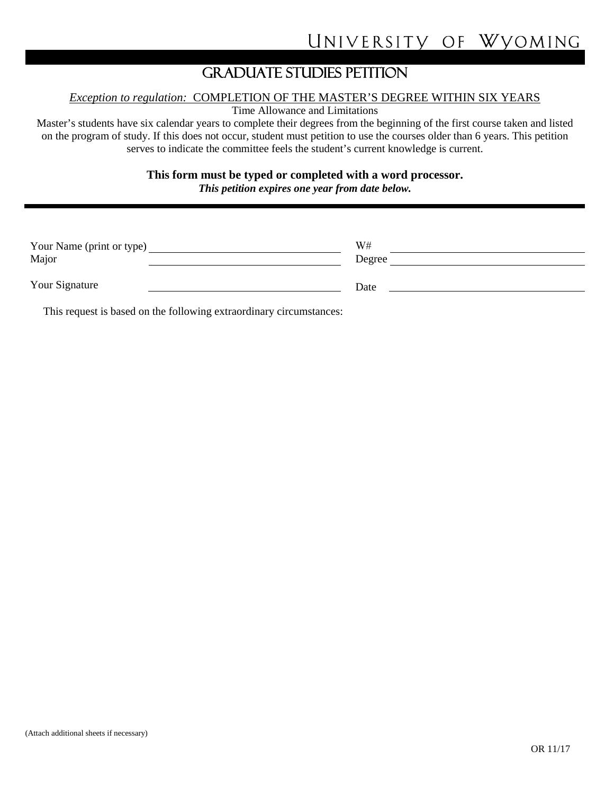## GRADUATE STUDIES PETITION

## *Exception to regulation:* COMPLETION OF THE MASTER'S DEGREE WITHIN SIX YEARS

Time Allowance and Limitations

Master's students have six calendar years to complete their degrees from the beginning of the first course taken and listed on the program of study. If this does not occur, student must petition to use the courses older than 6 years. This petition serves to indicate the committee feels the student's current knowledge is current.

**This form must be typed or completed with a word processor.**

*This petition expires one year from date below.*

| Your Name (print or type)<br>Major | W#<br>Degree |  |
|------------------------------------|--------------|--|
| Your Signature                     | Date         |  |

This request is based on the following extraordinary circumstances: